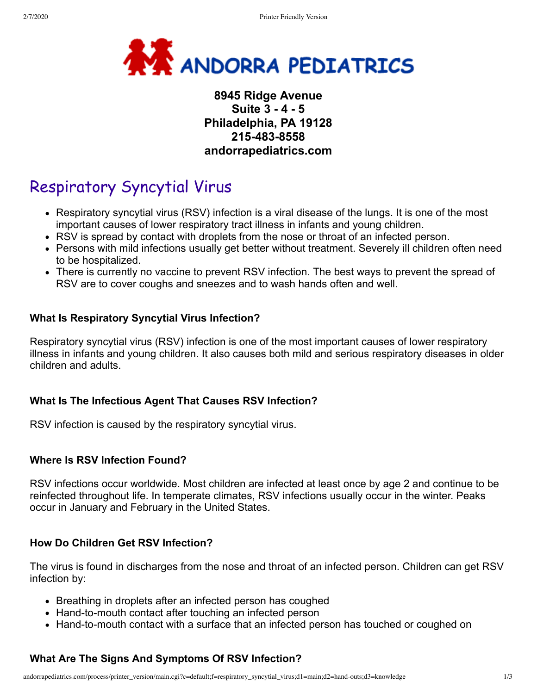

# **8945 Ridge Avenue Suite 3 - 4 - 5 Philadelphia, PA 19128 215-483-8558 andorrapediatrics.com**

# Respiratory Syncytial Virus

- Respiratory syncytial virus (RSV) infection is a viral disease of the lungs. It is one of the most important causes of lower respiratory tract illness in infants and young children.
- RSV is spread by contact with droplets from the nose or throat of an infected person.
- Persons with mild infections usually get better without treatment. Severely ill children often need to be hospitalized.
- There is currently no vaccine to prevent RSV infection. The best ways to prevent the spread of RSV are to cover coughs and sneezes and to wash hands often and well.

# **What Is Respiratory Syncytial Virus Infection?**

Respiratory syncytial virus (RSV) infection is one of the most important causes of lower respiratory illness in infants and young children. It also causes both mild and serious respiratory diseases in older children and adults.

# **What Is The Infectious Agent That Causes RSV Infection?**

RSV infection is caused by the respiratory syncytial virus.

# **Where Is RSV Infection Found?**

RSV infections occur worldwide. Most children are infected at least once by age 2 and continue to be reinfected throughout life. In temperate climates, RSV infections usually occur in the winter. Peaks occur in January and February in the United States.

# **How Do Children Get RSV Infection?**

The virus is found in discharges from the nose and throat of an infected person. Children can get RSV infection by:

- Breathing in droplets after an infected person has coughed
- Hand-to-mouth contact after touching an infected person
- Hand-to-mouth contact with a surface that an infected person has touched or coughed on

# **What Are The Signs And Symptoms Of RSV Infection?**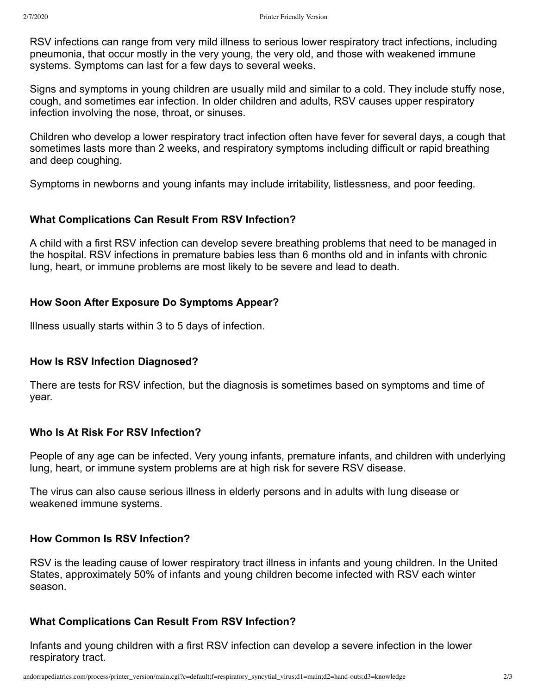RSV infections can range from very mild illness to serious lower respiratory tract infections, including pneumonia, that occur mostly in the very young, the very old, and those with weakened immune systems. Symptoms can last for a few days to several weeks.

Signs and symptoms in young children are usually mild and similar to a cold. They include stuffy nose, cough, and sometimes ear infection. In older children and adults, RSV causes upper respiratory infection involving the nose, throat, or sinuses.

Children who develop a lower respiratory tract infection often have fever for several days, a cough that sometimes lasts more than 2 weeks, and respiratory symptoms including difficult or rapid breathing and deep coughing.

Symptoms in newborns and young infants may include irritability, listlessness, and poor feeding.

# **What Complications Can Result From RSV Infection?**

A child with a first RSV infection can develop severe breathing problems that need to be managed in the hospital. RSV infections in premature babies less than 6 months old and in infants with chronic lung, heart, or immune problems are most likely to be severe and lead to death.

# **How Soon After Exposure Do Symptoms Appear?**

Illness usually starts within 3 to 5 days of infection.

# **How Is RSV Infection Diagnosed?**

There are tests for RSV infection, but the diagnosis is sometimes based on symptoms and time of year.

# **Who Is At Risk For RSV Infection?**

People of any age can be infected. Very young infants, premature infants, and children with underlying lung, heart, or immune system problems are at high risk for severe RSV disease.

The virus can also cause serious illness in elderly persons and in adults with lung disease or weakened immune systems.

# **How Common Is RSV Infection?**

RSV is the leading cause of lower respiratory tract illness in infants and young children. In the United States, approximately 50% of infants and young children become infected with RSV each winter season.

# **What Complications Can Result From RSV Infection?**

Infants and young children with a first RSV infection can develop a severe infection in the lower respiratory tract.